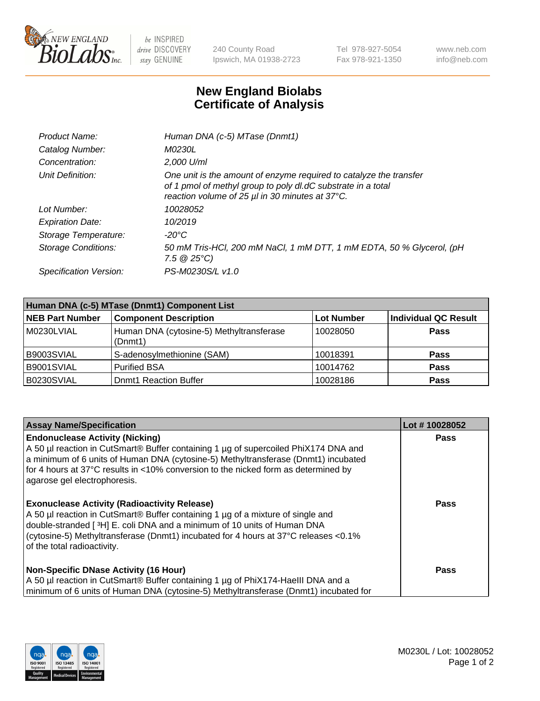

 $be$  INSPIRED drive DISCOVERY stay GENUINE

240 County Road Ipswich, MA 01938-2723 Tel 978-927-5054 Fax 978-921-1350 www.neb.com info@neb.com

## **New England Biolabs Certificate of Analysis**

| Product Name:              | Human DNA (c-5) MTase (Dnmt1)                                                                                                                                                         |
|----------------------------|---------------------------------------------------------------------------------------------------------------------------------------------------------------------------------------|
| Catalog Number:            | <i>M0230L</i>                                                                                                                                                                         |
| Concentration:             | 2,000 U/ml                                                                                                                                                                            |
| Unit Definition:           | One unit is the amount of enzyme required to catalyze the transfer<br>of 1 pmol of methyl group to poly dl.dC substrate in a total<br>reaction volume of 25 µl in 30 minutes at 37°C. |
| Lot Number:                | 10028052                                                                                                                                                                              |
| <b>Expiration Date:</b>    | 10/2019                                                                                                                                                                               |
| Storage Temperature:       | -20°C                                                                                                                                                                                 |
| <b>Storage Conditions:</b> | 50 mM Tris-HCl, 200 mM NaCl, 1 mM DTT, 1 mM EDTA, 50 % Glycerol, (pH<br>$7.5 \ @ 25^{\circ}C$                                                                                         |
| Specification Version:     | PS-M0230S/L v1.0                                                                                                                                                                      |

| Human DNA (c-5) MTase (Dnmt1) Component List |                                                     |                   |                      |  |
|----------------------------------------------|-----------------------------------------------------|-------------------|----------------------|--|
| <b>NEB Part Number</b>                       | <b>Component Description</b>                        | <b>Lot Number</b> | Individual QC Result |  |
| M0230LVIAL                                   | Human DNA (cytosine-5) Methyltransferase<br>(Dnmt1) | 10028050          | <b>Pass</b>          |  |
| B9003SVIAL                                   | S-adenosylmethionine (SAM)                          | 10018391          | <b>Pass</b>          |  |
| B9001SVIAL                                   | <b>Purified BSA</b>                                 | 10014762          | <b>Pass</b>          |  |
| B0230SVIAL                                   | <b>Domt1 Reaction Buffer</b>                        | 10028186          | <b>Pass</b>          |  |

| <b>Assay Name/Specification</b>                                                                                                                                                                                                                                                                                                           | Lot #10028052 |
|-------------------------------------------------------------------------------------------------------------------------------------------------------------------------------------------------------------------------------------------------------------------------------------------------------------------------------------------|---------------|
| <b>Endonuclease Activity (Nicking)</b><br>A 50 µl reaction in CutSmart® Buffer containing 1 µg of supercoiled PhiX174 DNA and<br>a minimum of 6 units of Human DNA (cytosine-5) Methyltransferase (Dnmt1) incubated<br>for 4 hours at 37°C results in <10% conversion to the nicked form as determined by<br>agarose gel electrophoresis. | Pass          |
| <b>Exonuclease Activity (Radioactivity Release)</b><br>A 50 µl reaction in CutSmart® Buffer containing 1 µg of a mixture of single and<br>double-stranded [3H] E. coli DNA and a minimum of 10 units of Human DNA<br>(cytosine-5) Methyltransferase (Dnmt1) incubated for 4 hours at 37°C releases <0.1%<br>of the total radioactivity.   | <b>Pass</b>   |
| <b>Non-Specific DNase Activity (16 Hour)</b><br>A 50 µl reaction in CutSmart® Buffer containing 1 µg of PhiX174-HaellI DNA and a<br>minimum of 6 units of Human DNA (cytosine-5) Methyltransferase (Dnmt1) incubated for                                                                                                                  | <b>Pass</b>   |